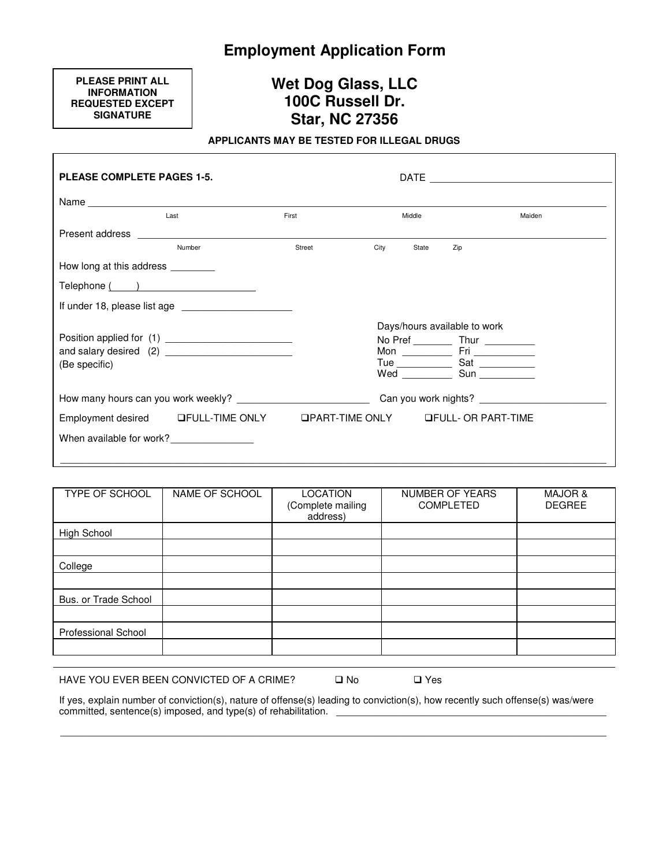# **Employment Application Form**

**PLEASE PRINT ALL INFORMATION REQUESTED EXCEPT SIGNATURE** 

# **Wet Dog Glass, LLC 100C Russell Dr. Star, NC 27356**

# **APPLICANTS MAY BE TESTED FOR ILLEGAL DRUGS**

| <b>PLEASE COMPLETE PAGES 1-5.</b>   |                                                                                                                                                                                                                                |        |      |        |                                                                                    |        |
|-------------------------------------|--------------------------------------------------------------------------------------------------------------------------------------------------------------------------------------------------------------------------------|--------|------|--------|------------------------------------------------------------------------------------|--------|
|                                     |                                                                                                                                                                                                                                |        |      |        |                                                                                    |        |
|                                     | Last                                                                                                                                                                                                                           | First  |      | Middle |                                                                                    | Maiden |
|                                     | Present address and the control of the control of the control of the control of the control of the control of the control of the control of the control of the control of the control of the control of the control of the con |        |      |        |                                                                                    |        |
|                                     | Number                                                                                                                                                                                                                         | Street | City | State  | Zip                                                                                |        |
| How long at this address _________  |                                                                                                                                                                                                                                |        |      |        |                                                                                    |        |
|                                     |                                                                                                                                                                                                                                |        |      |        |                                                                                    |        |
|                                     | If under 18, please list age                                                                                                                                                                                                   |        |      |        |                                                                                    |        |
| (Be specific)                       |                                                                                                                                                                                                                                |        |      |        | Days/hours available to work<br>No Pref _____________ Thur ____________<br>Wed Sun |        |
| How many hours can you work weekly? |                                                                                                                                                                                                                                |        |      |        |                                                                                    |        |
|                                     | Employment desired GFULL-TIME ONLY GPART-TIME ONLY GFULL- OR PART-TIME                                                                                                                                                         |        |      |        |                                                                                    |        |
|                                     | When available for work?                                                                                                                                                                                                       |        |      |        |                                                                                    |        |

| TYPE OF SCHOOL             | NAME OF SCHOOL | <b>LOCATION</b><br>(Complete mailing<br>address) | NUMBER OF YEARS<br><b>COMPLETED</b> | <b>MAJOR &amp;</b><br><b>DEGREE</b> |
|----------------------------|----------------|--------------------------------------------------|-------------------------------------|-------------------------------------|
| High School                |                |                                                  |                                     |                                     |
|                            |                |                                                  |                                     |                                     |
| College                    |                |                                                  |                                     |                                     |
|                            |                |                                                  |                                     |                                     |
| Bus. or Trade School       |                |                                                  |                                     |                                     |
|                            |                |                                                  |                                     |                                     |
| <b>Professional School</b> |                |                                                  |                                     |                                     |
|                            |                |                                                  |                                     |                                     |

HAVE YOU EVER BEEN CONVICTED OF A CRIME?  $\Box$  No  $\Box$  Yes

If yes, explain number of conviction(s), nature of offense(s) leading to conviction(s), how recently such offense(s) was/were committed, sentence(s) imposed, and type(s) of rehabilitation. \_

\_\_\_\_\_\_\_\_\_\_\_\_\_\_\_\_\_\_\_\_\_\_\_\_\_\_\_\_\_\_\_\_\_\_\_\_\_\_\_\_\_\_\_\_\_\_\_\_\_\_\_\_\_\_\_\_\_\_\_\_\_\_\_\_\_\_\_\_\_\_\_\_\_\_\_\_\_\_\_\_\_\_\_\_\_\_\_\_\_\_\_\_\_\_\_\_\_\_\_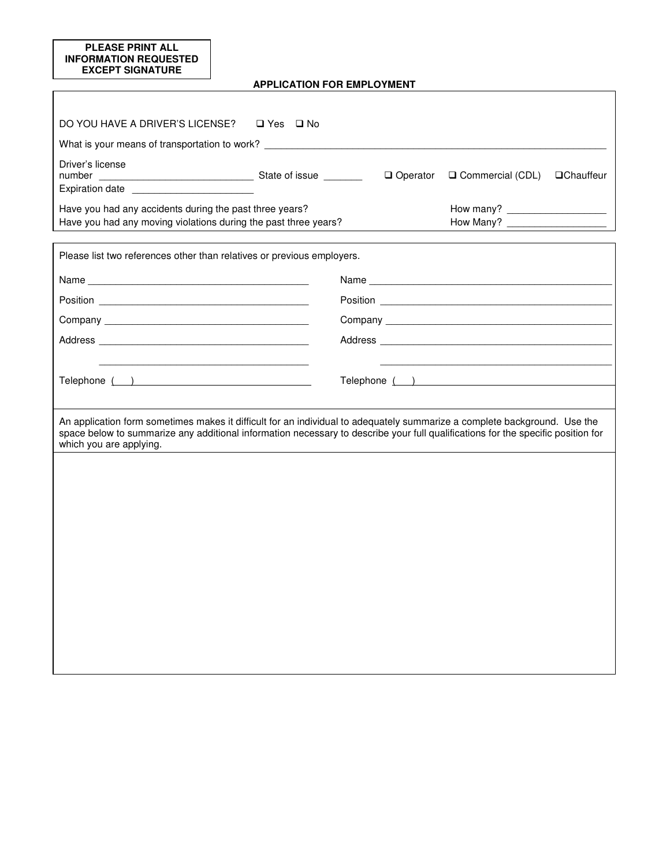## **PLEASE PRINT ALL INFORMATION REQUESTED EXCEPT SIGNATURE**

# **APPLICATION FOR EMPLOYMENT**

| DO YOU HAVE A DRIVER'S LICENSE?<br>$\Box$ Yes $\Box$ No                                                                                                                                                                                                                                                                    |                                                              |  |  |  |  |
|----------------------------------------------------------------------------------------------------------------------------------------------------------------------------------------------------------------------------------------------------------------------------------------------------------------------------|--------------------------------------------------------------|--|--|--|--|
| What is your means of transportation to work? ___________________________________                                                                                                                                                                                                                                          |                                                              |  |  |  |  |
| Driver's license<br>Have you had any accidents during the past three years?                                                                                                                                                                                                                                                | $\Box$ Operator $\Box$ Commercial (CDL)<br><b>QChauffeur</b> |  |  |  |  |
| Have you had any moving violations during the past three years?                                                                                                                                                                                                                                                            |                                                              |  |  |  |  |
| Please list two references other than relatives or previous employers.                                                                                                                                                                                                                                                     |                                                              |  |  |  |  |
|                                                                                                                                                                                                                                                                                                                            |                                                              |  |  |  |  |
|                                                                                                                                                                                                                                                                                                                            |                                                              |  |  |  |  |
| Telephone ( )<br>Telephone ( )<br>An application form sometimes makes it difficult for an individual to adequately summarize a complete background. Use the<br>space below to summarize any additional information necessary to describe your full qualifications for the specific position for<br>which you are applying. |                                                              |  |  |  |  |
|                                                                                                                                                                                                                                                                                                                            |                                                              |  |  |  |  |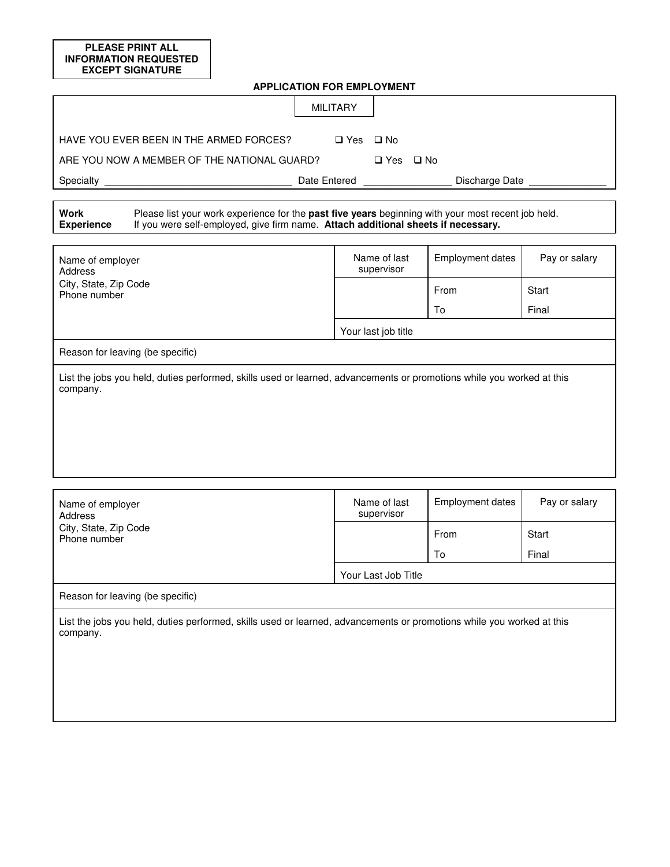**PLEASE PRINT ALL INFORMATION REQUESTED EXCEPT SIGNATURE** 

| <b>APPLICATION FOR EMPLOYMENT</b>                                                                                                                                                                                           |                            |                         |               |  |  |
|-----------------------------------------------------------------------------------------------------------------------------------------------------------------------------------------------------------------------------|----------------------------|-------------------------|---------------|--|--|
| <b>MILITARY</b>                                                                                                                                                                                                             |                            |                         |               |  |  |
| HAVE YOU EVER BEEN IN THE ARMED FORCES?<br>□ Yes □ No                                                                                                                                                                       |                            |                         |               |  |  |
| ARE YOU NOW A MEMBER OF THE NATIONAL GUARD?                                                                                                                                                                                 | $\Box$ Yes $\Box$ No       |                         |               |  |  |
| Specialty<br>Date Entered                                                                                                                                                                                                   |                            | Discharge Date          |               |  |  |
|                                                                                                                                                                                                                             |                            |                         |               |  |  |
| <b>Work</b><br>Please list your work experience for the past five years beginning with your most recent job held.<br>If you were self-employed, give firm name. Attach additional sheets if necessary.<br><b>Experience</b> |                            |                         |               |  |  |
|                                                                                                                                                                                                                             |                            |                         |               |  |  |
| Name of employer<br><b>Address</b>                                                                                                                                                                                          | Name of last<br>supervisor | <b>Employment dates</b> | Pay or salary |  |  |
| City, State, Zip Code<br>Phone number                                                                                                                                                                                       |                            | From                    | Start         |  |  |
|                                                                                                                                                                                                                             |                            | To                      | Final         |  |  |
|                                                                                                                                                                                                                             | Your last job title        |                         |               |  |  |
| Reason for leaving (be specific)                                                                                                                                                                                            |                            |                         |               |  |  |
| List the jobs you held, duties performed, skills used or learned, advancements or promotions while you worked at this<br>company.                                                                                           |                            |                         |               |  |  |

| Name of employer<br>Address                                                                                                       | Name of last<br>supervisor | <b>Employment dates</b> | Pay or salary |  |  |
|-----------------------------------------------------------------------------------------------------------------------------------|----------------------------|-------------------------|---------------|--|--|
| City, State, Zip Code<br>Phone number                                                                                             |                            | From                    | Start         |  |  |
|                                                                                                                                   |                            | To                      | Final         |  |  |
|                                                                                                                                   | Your Last Job Title        |                         |               |  |  |
| Reason for leaving (be specific)                                                                                                  |                            |                         |               |  |  |
| List the jobs you held, duties performed, skills used or learned, advancements or promotions while you worked at this<br>company. |                            |                         |               |  |  |
|                                                                                                                                   |                            |                         |               |  |  |
|                                                                                                                                   |                            |                         |               |  |  |
|                                                                                                                                   |                            |                         |               |  |  |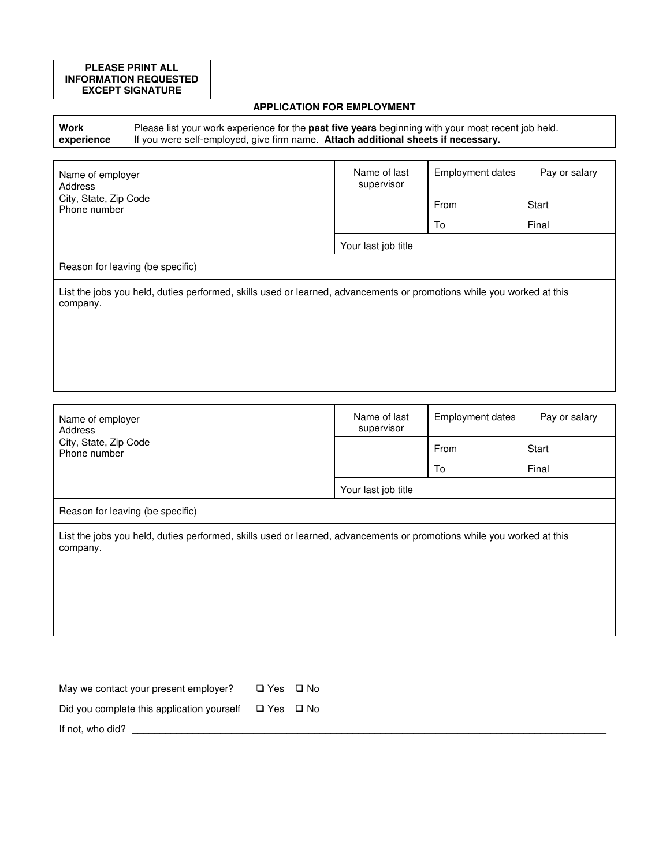## **PLEASE PRINT ALL INFORMATION REQUESTED EXCEPT SIGNATURE**

# **APPLICATION FOR EMPLOYMENT**

**Work experience** Please list your work experience for the **past five years** beginning with your most recent job held. If you were self-employed, give firm name. **Attach additional sheets if necessary.**

| Name of employer<br>Address                                                                                                       | Name of last<br>supervisor | <b>Employment dates</b> | Pay or salary |  |  |
|-----------------------------------------------------------------------------------------------------------------------------------|----------------------------|-------------------------|---------------|--|--|
| City, State, Zip Code<br>Phone number                                                                                             |                            | From                    | Start         |  |  |
|                                                                                                                                   |                            | To                      | Final         |  |  |
|                                                                                                                                   | Your last job title        |                         |               |  |  |
| Reason for leaving (be specific)                                                                                                  |                            |                         |               |  |  |
| List the jobs you held, duties performed, skills used or learned, advancements or promotions while you worked at this<br>company. |                            |                         |               |  |  |
|                                                                                                                                   |                            |                         |               |  |  |
|                                                                                                                                   |                            |                         |               |  |  |
|                                                                                                                                   |                            |                         |               |  |  |

| Name of employer<br>Address                                                                                                       | Name of last<br>supervisor | Employment dates | Pay or salary |  |
|-----------------------------------------------------------------------------------------------------------------------------------|----------------------------|------------------|---------------|--|
| City, State, Zip Code<br>Phone number                                                                                             |                            | From             | Start         |  |
|                                                                                                                                   |                            | To               | Final         |  |
|                                                                                                                                   | Your last job title        |                  |               |  |
| Reason for leaving (be specific)                                                                                                  |                            |                  |               |  |
| List the jobs you held, duties performed, skills used or learned, advancements or promotions while you worked at this<br>company. |                            |                  |               |  |

| May we contact your present employer?      | □ Yes □ No |  |
|--------------------------------------------|------------|--|
| Did you complete this application yourself | □ Yes □ No |  |
| If not, who did?                           |            |  |